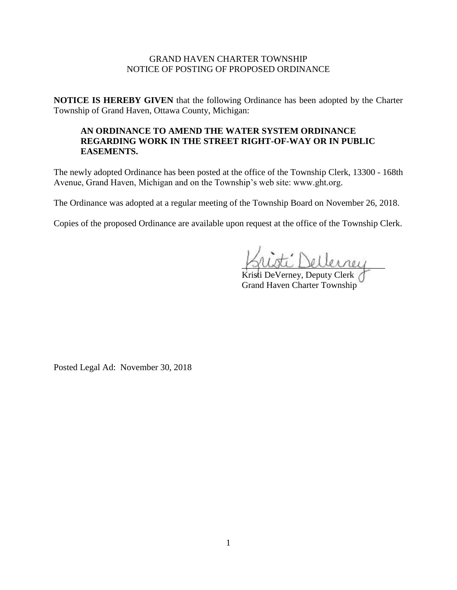## GRAND HAVEN CHARTER TOWNSHIP NOTICE OF POSTING OF PROPOSED ORDINANCE

**NOTICE IS HEREBY GIVEN** that the following Ordinance has been adopted by the Charter Township of Grand Haven, Ottawa County, Michigan:

## **AN ORDINANCE TO AMEND THE WATER SYSTEM ORDINANCE REGARDING WORK IN THE STREET RIGHT-OF-WAY OR IN PUBLIC EASEMENTS.**

The newly adopted Ordinance has been posted at the office of the Township Clerk, 13300 - 168th Avenue, Grand Haven, Michigan and on the Township's web site: www.ght.org.

The Ordinance was adopted at a regular meeting of the Township Board on November 26, 2018.

Copies of the proposed Ordinance are available upon request at the office of the Township Clerk.

\_\_\_\_\_\_\_\_\_\_\_\_\_\_\_\_\_\_\_\_\_\_\_\_\_\_\_\_\_\_\_\_

Kristi DeVerney, Deputy Clerk Grand Haven Charter Township

Posted Legal Ad: November 30, 2018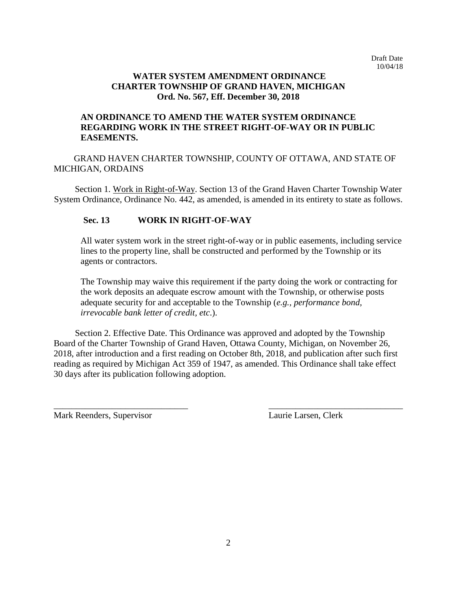### **WATER SYSTEM AMENDMENT ORDINANCE CHARTER TOWNSHIP OF GRAND HAVEN, MICHIGAN Ord. No. 567, Eff. December 30, 2018**

# **AN ORDINANCE TO AMEND THE WATER SYSTEM ORDINANCE REGARDING WORK IN THE STREET RIGHT-OF-WAY OR IN PUBLIC EASEMENTS.**

GRAND HAVEN CHARTER TOWNSHIP, COUNTY OF OTTAWA, AND STATE OF MICHIGAN, ORDAINS

Section 1. Work in Right-of-Way. Section 13 of the Grand Haven Charter Township Water System Ordinance, Ordinance No. 442, as amended, is amended in its entirety to state as follows.

## **Sec. 13 WORK IN RIGHT-OF-WAY**

All water system work in the street right-of-way or in public easements, including service lines to the property line, shall be constructed and performed by the Township or its agents or contractors.

The Township may waive this requirement if the party doing the work or contracting for the work deposits an adequate escrow amount with the Township, or otherwise posts adequate security for and acceptable to the Township (*e.g., performance bond, irrevocable bank letter of credit, etc*.).

 Section 2. Effective Date. This Ordinance was approved and adopted by the Township Board of the Charter Township of Grand Haven, Ottawa County, Michigan, on November 26, 2018, after introduction and a first reading on October 8th, 2018, and publication after such first reading as required by Michigan Act 359 of 1947, as amended. This Ordinance shall take effect 30 days after its publication following adoption.

 $\overline{\phantom{a}}$  , and the contract of the contract of the contract of the contract of the contract of the contract of the contract of the contract of the contract of the contract of the contract of the contract of the contrac

Mark Reenders, Supervisor Laurie Larsen, Clerk